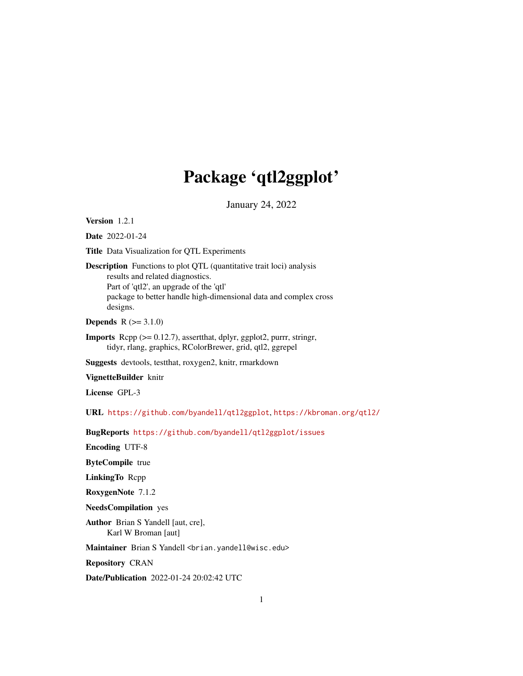# Package 'qtl2ggplot'

January 24, 2022

<span id="page-0-0"></span>Version 1.2.1

Date 2022-01-24

Title Data Visualization for QTL Experiments

Description Functions to plot QTL (quantitative trait loci) analysis results and related diagnostics. Part of 'qtl2', an upgrade of the 'qtl' package to better handle high-dimensional data and complex cross designs.

**Depends**  $R (= 3.1.0)$ 

**Imports** Rcpp  $(>= 0.12.7)$ , assert that, dplyr, ggplot 2, purrr, stringr, tidyr, rlang, graphics, RColorBrewer, grid, qtl2, ggrepel

Suggests devtools, testthat, roxygen2, knitr, rmarkdown

VignetteBuilder knitr

License GPL-3

URL <https://github.com/byandell/qtl2ggplot>, <https://kbroman.org/qtl2/>

BugReports <https://github.com/byandell/qtl2ggplot/issues>

Encoding UTF-8

ByteCompile true

LinkingTo Rcpp

RoxygenNote 7.1.2

NeedsCompilation yes

Author Brian S Yandell [aut, cre], Karl W Broman [aut]

Maintainer Brian S Yandell <br ian.yandell@wisc.edu>

Repository CRAN

Date/Publication 2022-01-24 20:02:42 UTC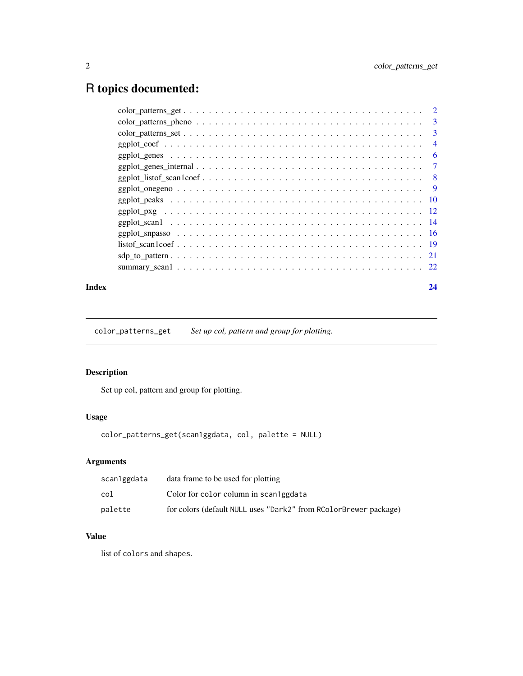## <span id="page-1-0"></span>R topics documented:

| $\overline{2}$ |
|----------------|
| 3              |
| 3              |
| $\overline{4}$ |
| 6              |
| $\tau$         |
| - 8            |
| - 9            |
|                |
|                |
|                |
|                |
|                |
|                |
|                |
|                |

#### **Index** [24](#page-23-0)

color\_patterns\_get *Set up col, pattern and group for plotting.*

### Description

Set up col, pattern and group for plotting.

### Usage

color\_patterns\_get(scan1ggdata, col, palette = NULL)

### Arguments

| scan1ggdata | data frame to be used for plotting                               |
|-------------|------------------------------------------------------------------|
| col         | Color for color column in scan lggdata                           |
| palette     | for colors (default NULL uses "Dark2" from RColorBrewer package) |

### Value

list of colors and shapes.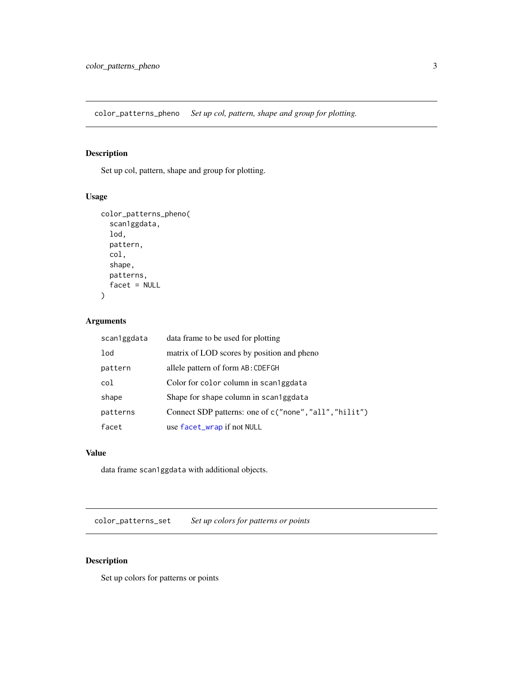<span id="page-2-0"></span>color\_patterns\_pheno *Set up col, pattern, shape and group for plotting.*

### Description

Set up col, pattern, shape and group for plotting.

### Usage

```
color_patterns_pheno(
  scan1ggdata,
  lod,
  pattern,
  col,
  shape,
  patterns,
  facet = NULL)
```
### Arguments

| scan1ggdata | data frame to be used for plotting                     |
|-------------|--------------------------------------------------------|
| lod         | matrix of LOD scores by position and pheno             |
| pattern     | allele pattern of form AB: CDEFGH                      |
| col         | Color for color column in scan1ggdata                  |
| shape       | Shape for shape column in scan1ggdata                  |
| patterns    | Connect SDP patterns: one of c("none", "all", "hilit") |
| facet       | use facet_wrap if not NULL                             |

### Value

data frame scan1ggdata with additional objects.

color\_patterns\_set *Set up colors for patterns or points*

### Description

Set up colors for patterns or points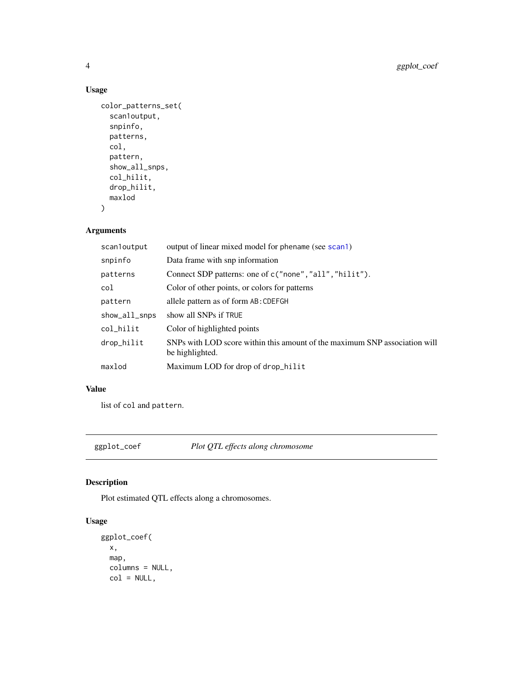### Usage

```
color_patterns_set(
  scan1output,
  snpinfo,
  patterns,
  col,
  pattern,
  show_all_snps,
  col_hilit,
  drop_hilit,
  maxlod
\mathcal{E}
```
### Arguments

| scanloutput   | output of linear mixed model for phename (see scan1)                                          |
|---------------|-----------------------------------------------------------------------------------------------|
| snpinfo       | Data frame with snp information                                                               |
| patterns      | Connect SDP patterns: one of c("none", "all", "hilit").                                       |
| col           | Color of other points, or colors for patterns                                                 |
| pattern       | allele pattern as of form AB: CDEFGH                                                          |
| show_all_snps | show all SNPs if TRUE                                                                         |
| col_hilit     | Color of highlighted points                                                                   |
| drop_hilit    | SNPs with LOD score within this amount of the maximum SNP association will<br>be highlighted. |
| maxlod        | Maximum LOD for drop of drop_hilit                                                            |

### Value

list of col and pattern.

<span id="page-3-1"></span>ggplot\_coef *Plot QTL effects along chromosome*

### Description

Plot estimated QTL effects along a chromosomes.

```
ggplot_coef(
 x,
 map,
 columns = NULL,
 col = NULL,
```
<span id="page-3-0"></span>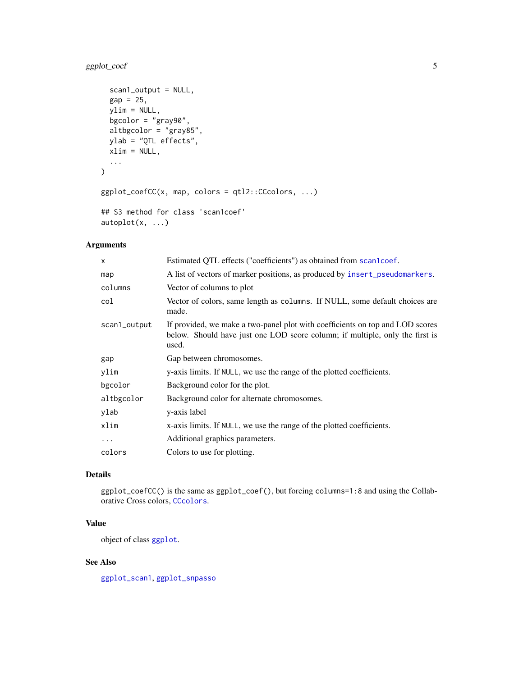### <span id="page-4-0"></span>ggplot\_coef 5

```
scan1_output = NULL,
 gap = 25,ylim = NULL,
 bgcolor = "gray90",
 altbgcolor = "gray85",
 ylab = "QTL effects",
 xlim = NULL,...
\mathcal{L}ggplot\_coefCC(x, map, colors = qt12::CCcolors, ...)## S3 method for class 'scan1coef'
```

```
autoplot(x, \ldots)
```
### Arguments

| $\mathsf{x}$ | Estimated QTL effects ("coefficients") as obtained from scan1coef.                                                                                                     |
|--------------|------------------------------------------------------------------------------------------------------------------------------------------------------------------------|
| map          | A list of vectors of marker positions, as produced by insert_pseudomarkers.                                                                                            |
| columns      | Vector of columns to plot                                                                                                                                              |
| col          | Vector of colors, same length as columns. If NULL, some default choices are<br>made.                                                                                   |
| scan1_output | If provided, we make a two-panel plot with coefficients on top and LOD scores<br>below. Should have just one LOD score column; if multiple, only the first is<br>used. |
| gap          | Gap between chromosomes.                                                                                                                                               |
| ylim         | y-axis limits. If NULL, we use the range of the plotted coefficients.                                                                                                  |
| bgcolor      | Background color for the plot.                                                                                                                                         |
| altbgcolor   | Background color for alternate chromosomes.                                                                                                                            |
| ylab         | y-axis label                                                                                                                                                           |
| xlim         | x-axis limits. If NULL, we use the range of the plotted coefficients.                                                                                                  |
| $\cdots$     | Additional graphics parameters.                                                                                                                                        |
| colors       | Colors to use for plotting.                                                                                                                                            |

### Details

ggplot\_coefCC() is the same as ggplot\_coef(), but forcing columns=1:8 and using the Collaborative Cross colors, [CCcolors](#page-0-0).

### Value

object of class [ggplot](#page-0-0).

### See Also

[ggplot\\_scan1](#page-13-1), [ggplot\\_snpasso](#page-15-1)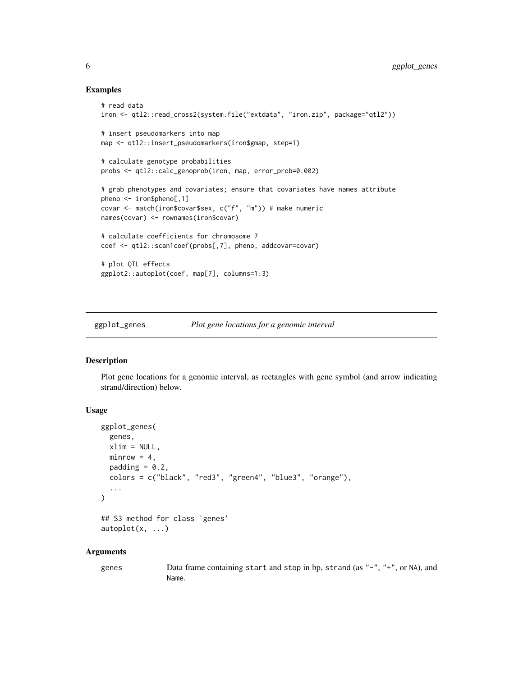#### Examples

```
# read data
iron <- qtl2::read_cross2(system.file("extdata", "iron.zip", package="qtl2"))
# insert pseudomarkers into map
map <- qtl2::insert_pseudomarkers(iron$gmap, step=1)
# calculate genotype probabilities
probs <- qtl2::calc_genoprob(iron, map, error_prob=0.002)
# grab phenotypes and covariates; ensure that covariates have names attribute
pheno <- iron$pheno[,1]
covar <- match(iron$covar$sex, c("f", "m")) # make numeric
names(covar) <- rownames(iron$covar)
# calculate coefficients for chromosome 7
coef <- qtl2::scan1coef(probs[,7], pheno, addcovar=covar)
# plot QTL effects
ggplot2::autoplot(coef, map[7], columns=1:3)
```
ggplot\_genes *Plot gene locations for a genomic interval*

### Description

Plot gene locations for a genomic interval, as rectangles with gene symbol (and arrow indicating strand/direction) below.

#### Usage

```
ggplot_genes(
  genes,
 xlim = NULL,
 minrow = 4,
 padding = 0.2,
  colors = c("black", "red3", "green4", "blue3", "orange"),
  ...
\mathcal{L}## S3 method for class 'genes'
autoplot(x, \ldots)
```
#### Arguments

genes Data frame containing start and stop in bp, strand (as "-", "+", or NA), and Name.

<span id="page-5-0"></span>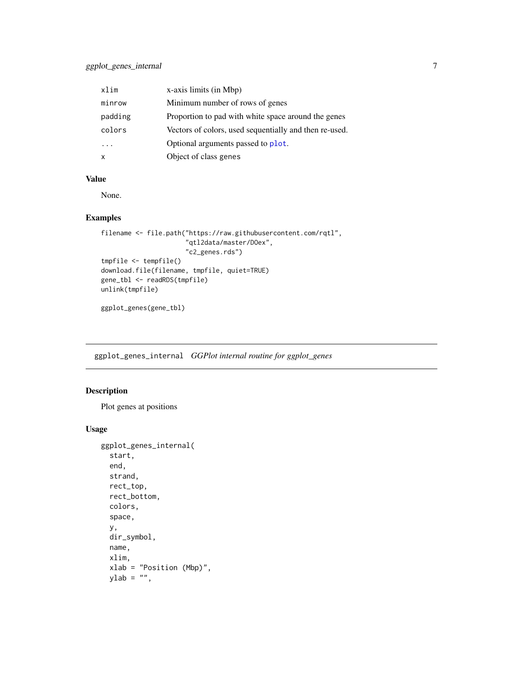<span id="page-6-0"></span>

| xlim    | x-axis limits (in Mbp)                                 |
|---------|--------------------------------------------------------|
| minrow  | Minimum number of rows of genes                        |
| padding | Proportion to pad with white space around the genes    |
| colors  | Vectors of colors, used sequentially and then re-used. |
|         | Optional arguments passed to plot.                     |
| X       | Object of class genes                                  |

### Value

None.

### Examples

```
filename <- file.path("https://raw.githubusercontent.com/rqtl",
                      "qtl2data/master/DOex",
                      "c2_genes.rds")
tmpfile <- tempfile()
download.file(filename, tmpfile, quiet=TRUE)
gene_tbl <- readRDS(tmpfile)
unlink(tmpfile)
```
ggplot\_genes(gene\_tbl)

ggplot\_genes\_internal *GGPlot internal routine for ggplot\_genes*

#### Description

Plot genes at positions

```
ggplot_genes_internal(
  start,
  end,
 strand,
  rect_top,
  rect_bottom,
  colors,
  space,
 y,
 dir_symbol,
 name,
  xlim,
  xlab = "Position (Mbp)",
 ylab = "",
```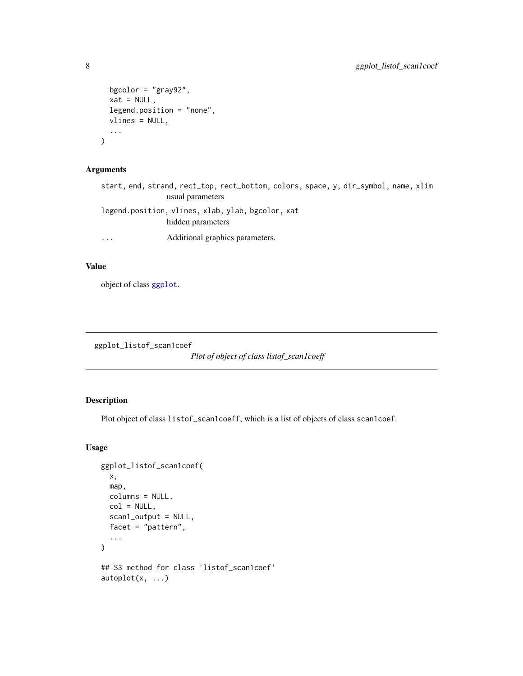```
bgcolor = "gray92",
 xat = NULL,legend.position = "none",
 vlines = NULL,
  ...
)
```
### Arguments

```
start, end, strand, rect_top, rect_bottom, colors, space, y, dir_symbol, name, xlim
               usual parameters
legend.position, vlines, xlab, ylab, bgcolor, xat
               hidden parameters
... Additional graphics parameters.
```
#### Value

object of class [ggplot](#page-0-0).

ggplot\_listof\_scan1coef

*Plot of object of class listof\_scan1coeff*

### Description

Plot object of class listof\_scan1coeff, which is a list of objects of class scan1coef.

```
ggplot_listof_scan1coef(
 x,
 map,
 columns = NULL,
 col = NULL,scan1_output = NULL,
  facet = "pattern",
  ...
)
## S3 method for class 'listof_scan1coef'
autoplot(x, \ldots)
```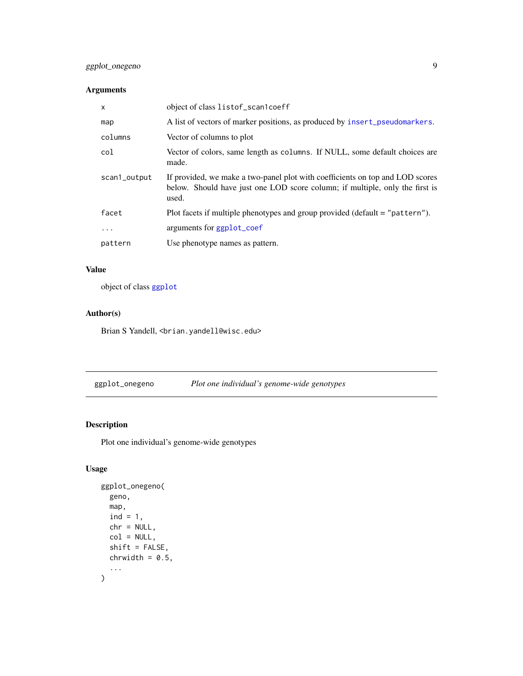### <span id="page-8-0"></span>ggplot\_onegeno 9

### Arguments

| $\mathsf{x}$ | object of class listof_scan1coeff                                                                                                                                      |
|--------------|------------------------------------------------------------------------------------------------------------------------------------------------------------------------|
| map          | A list of vectors of marker positions, as produced by insert_pseudomarkers.                                                                                            |
| columns      | Vector of columns to plot                                                                                                                                              |
| col          | Vector of colors, same length as columns. If NULL, some default choices are<br>made.                                                                                   |
| scan1_output | If provided, we make a two-panel plot with coefficients on top and LOD scores<br>below. Should have just one LOD score column; if multiple, only the first is<br>used. |
| facet        | Plot facets if multiple phenotypes and group provided (default = "pattern").                                                                                           |
| $\ddots$     | arguments for ggplot_coef                                                                                                                                              |
| pattern      | Use phenotype names as pattern.                                                                                                                                        |

### Value

object of class [ggplot](#page-0-0)

### Author(s)

Brian S Yandell, <br />brian.yandell@wisc.edu>

ggplot\_onegeno *Plot one individual's genome-wide genotypes*

### Description

Plot one individual's genome-wide genotypes

```
ggplot_onegeno(
  geno,
  map,
  ind = 1,chr = NULL,col = NULL,shift = FALSE,
  chrwidth = 0.5,
  ...
\overline{\phantom{a}}
```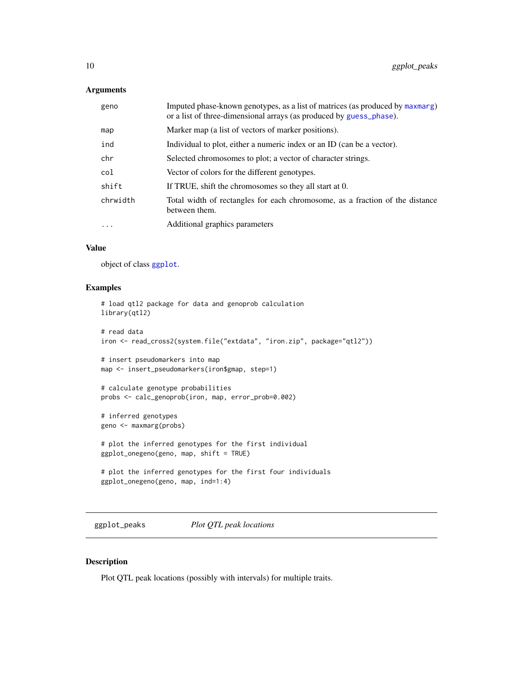### <span id="page-9-0"></span>Arguments

| geno     | Imputed phase-known genotypes, as a list of matrices (as produced by maxmarg)<br>or a list of three-dimensional arrays (as produced by guess_phase). |
|----------|------------------------------------------------------------------------------------------------------------------------------------------------------|
| map      | Marker map (a list of vectors of marker positions).                                                                                                  |
| ind      | Individual to plot, either a numeric index or an ID (can be a vector).                                                                               |
| chr      | Selected chromosomes to plot; a vector of character strings.                                                                                         |
| col      | Vector of colors for the different genotypes.                                                                                                        |
| shift    | If TRUE, shift the chromosomes so they all start at 0.                                                                                               |
| chrwidth | Total width of rectangles for each chromosome, as a fraction of the distance<br>between them.                                                        |
| $\cdots$ | Additional graphics parameters                                                                                                                       |

#### Value

object of class [ggplot](#page-0-0).

#### Examples

```
# load qtl2 package for data and genoprob calculation
library(qtl2)
# read data
iron <- read_cross2(system.file("extdata", "iron.zip", package="qtl2"))
# insert pseudomarkers into map
map <- insert_pseudomarkers(iron$gmap, step=1)
# calculate genotype probabilities
probs <- calc_genoprob(iron, map, error_prob=0.002)
# inferred genotypes
geno <- maxmarg(probs)
# plot the inferred genotypes for the first individual
ggplot_onegeno(geno, map, shift = TRUE)
# plot the inferred genotypes for the first four individuals
ggplot_onegeno(geno, map, ind=1:4)
```
ggplot\_peaks *Plot QTL peak locations*

### Description

Plot QTL peak locations (possibly with intervals) for multiple traits.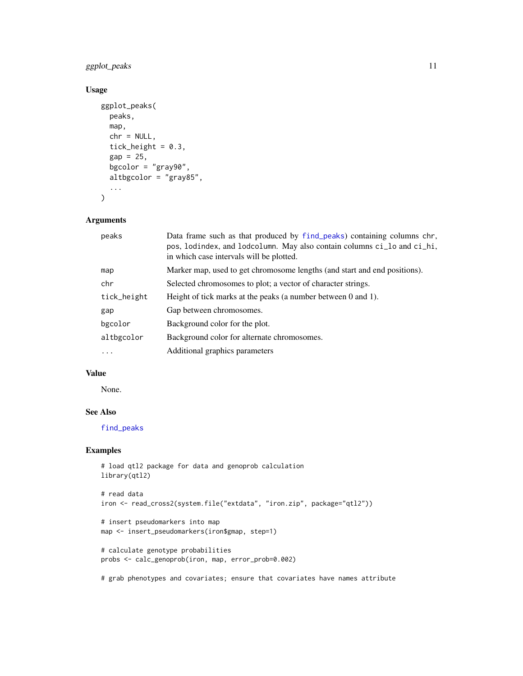### <span id="page-10-0"></span>ggplot\_peaks 11

### Usage

```
ggplot_peaks(
  peaks,
  map,
  chr = NULL,
  tick_height = 0.3,
  gap = 25,bgcolor = "gray90",
  altbgcolor = "gray85",
  ...
\mathcal{L}
```
#### Arguments

| peaks       | Data frame such as that produced by find_peaks) containing columns chr,<br>pos, lodindex, and lodcolumn. May also contain columns ci_lo and ci_hi,<br>in which case intervals will be plotted. |
|-------------|------------------------------------------------------------------------------------------------------------------------------------------------------------------------------------------------|
| map         | Marker map, used to get chromosome lengths (and start and end positions).                                                                                                                      |
| chr         | Selected chromosomes to plot; a vector of character strings.                                                                                                                                   |
| tick_height | Height of tick marks at the peaks (a number between 0 and 1).                                                                                                                                  |
| gap         | Gap between chromosomes.                                                                                                                                                                       |
| bgcolor     | Background color for the plot.                                                                                                                                                                 |
| altbgcolor  | Background color for alternate chromosomes.                                                                                                                                                    |
| $\cdots$    | Additional graphics parameters                                                                                                                                                                 |

### Value

None.

#### See Also

[find\\_peaks](#page-0-0)

### Examples

```
# load qtl2 package for data and genoprob calculation
library(qtl2)
# read data
iron <- read_cross2(system.file("extdata", "iron.zip", package="qtl2"))
# insert pseudomarkers into map
map <- insert_pseudomarkers(iron$gmap, step=1)
# calculate genotype probabilities
probs <- calc_genoprob(iron, map, error_prob=0.002)
```
# grab phenotypes and covariates; ensure that covariates have names attribute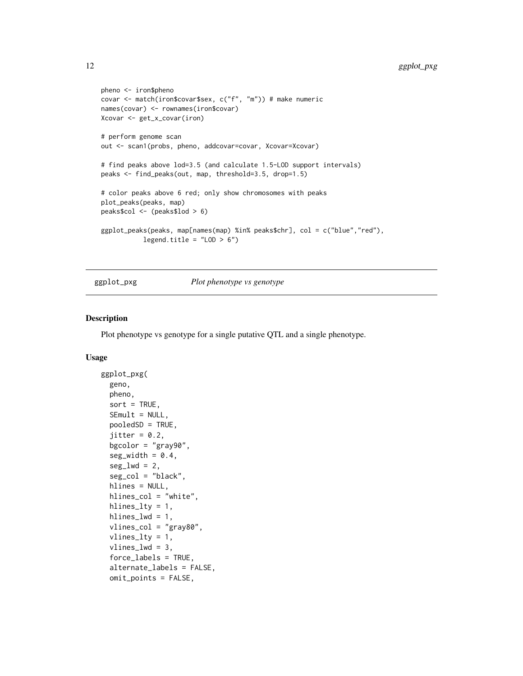```
pheno <- iron$pheno
covar <- match(iron$covar$sex, c("f", "m")) # make numeric
names(covar) <- rownames(iron$covar)
Xcovar <- get_x_covar(iron)
# perform genome scan
out <- scan1(probs, pheno, addcovar=covar, Xcovar=Xcovar)
# find peaks above lod=3.5 (and calculate 1.5-LOD support intervals)
peaks <- find_peaks(out, map, threshold=3.5, drop=1.5)
# color peaks above 6 red; only show chromosomes with peaks
plot_peaks(peaks, map)
peaks$col <- (peaks$lod > 6)
ggplot_peaks(peaks, map[names(map) %in% peaks$chr], col = c("blue","red"),
           legend.title = "LOD > 6")
```
### ggplot\_pxg *Plot phenotype vs genotype*

#### Description

Plot phenotype vs genotype for a single putative QTL and a single phenotype.

```
ggplot_pxg(
  geno,
  pheno,
  sort = TRUE,SEmult = NULL,
  pooledSD = TRUE,
  jitter = 0.2,
  bgcolor = "gray90",
  seg\_width = 0.4,seg_lwd = 2,
  seg_col = "black",
  hlines = NULL,
 hlines_col = "white",
  hlines_lty = 1,
  hlines_lwd = 1,vlines_col = "gray80",
  vlines_lty = 1,
  vlines_lwd = 3,
  force_labels = TRUE,
  alternate_labels = FALSE,
  omit_points = FALSE,
```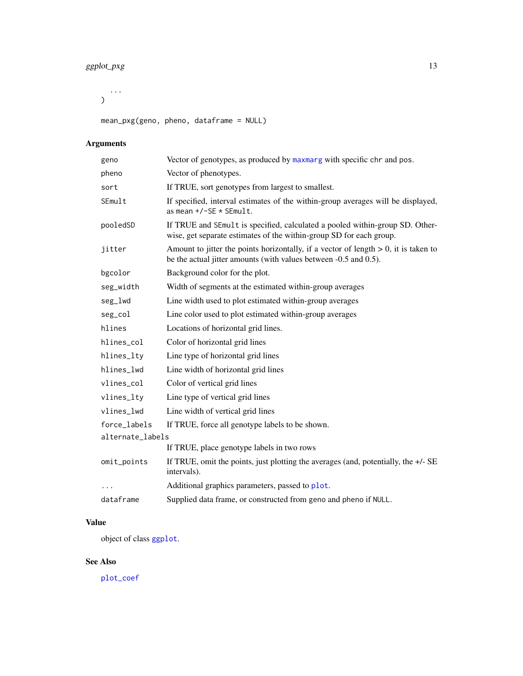### <span id="page-12-0"></span>ggplot\_pxg 13

...  $\mathcal{L}$ 

mean\_pxg(geno, pheno, dataframe = NULL)

## Arguments

| geno             | Vector of genotypes, as produced by maxmarg with specific chr and pos.                                                                                     |
|------------------|------------------------------------------------------------------------------------------------------------------------------------------------------------|
| pheno            | Vector of phenotypes.                                                                                                                                      |
| sort             | If TRUE, sort genotypes from largest to smallest.                                                                                                          |
| SEmult           | If specified, interval estimates of the within-group averages will be displayed,<br>as mean $+/-SE * SEMult$ .                                             |
| pooledSD         | If TRUE and SEmult is specified, calculated a pooled within-group SD. Other-<br>wise, get separate estimates of the within-group SD for each group.        |
| jitter           | Amount to jitter the points horizontally, if a vector of length $> 0$ , it is taken to<br>be the actual jitter amounts (with values between -0.5 and 0.5). |
| bgcolor          | Background color for the plot.                                                                                                                             |
| seg_width        | Width of segments at the estimated within-group averages                                                                                                   |
| seg_lwd          | Line width used to plot estimated within-group averages                                                                                                    |
| seg_col          | Line color used to plot estimated within-group averages                                                                                                    |
| hlines           | Locations of horizontal grid lines.                                                                                                                        |
| hlines_col       | Color of horizontal grid lines                                                                                                                             |
| hlines_lty       | Line type of horizontal grid lines                                                                                                                         |
| hlines_lwd       | Line width of horizontal grid lines                                                                                                                        |
| vlines_col       | Color of vertical grid lines                                                                                                                               |
| vlines_lty       | Line type of vertical grid lines                                                                                                                           |
| vlines_lwd       | Line width of vertical grid lines                                                                                                                          |
| force_labels     | If TRUE, force all genotype labels to be shown.                                                                                                            |
| alternate_labels |                                                                                                                                                            |
|                  | If TRUE, place genotype labels in two rows                                                                                                                 |
| omit_points      | If TRUE, omit the points, just plotting the averages (and, potentially, the $+/-SE$<br>intervals).                                                         |
| .                | Additional graphics parameters, passed to plot.                                                                                                            |
| dataframe        | Supplied data frame, or constructed from geno and pheno if NULL.                                                                                           |

### Value

object of class [ggplot](#page-0-0).

### See Also

[plot\\_coef](#page-0-0)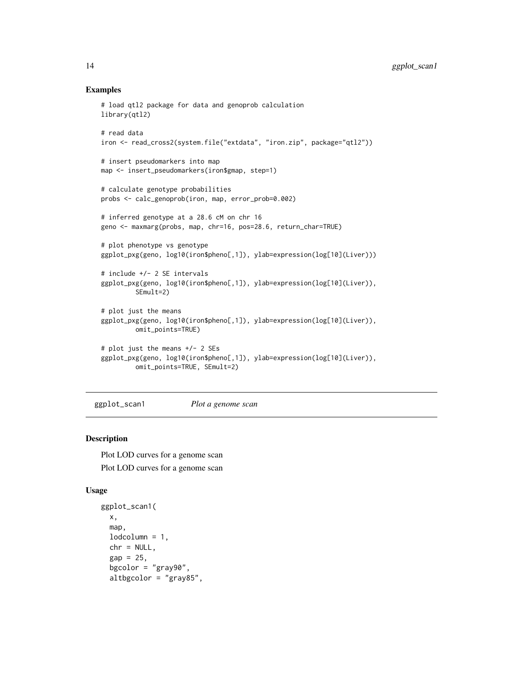#### Examples

```
# load qtl2 package for data and genoprob calculation
library(qtl2)
# read data
iron <- read_cross2(system.file("extdata", "iron.zip", package="qtl2"))
# insert pseudomarkers into map
map <- insert_pseudomarkers(iron$gmap, step=1)
# calculate genotype probabilities
probs <- calc_genoprob(iron, map, error_prob=0.002)
# inferred genotype at a 28.6 cM on chr 16
geno <- maxmarg(probs, map, chr=16, pos=28.6, return_char=TRUE)
# plot phenotype vs genotype
ggplot_pxg(geno, log10(iron$pheno[,1]), ylab=expression(log[10](Liver)))
# include +/- 2 SE intervals
ggplot_pxg(geno, log10(iron$pheno[,1]), ylab=expression(log[10](Liver)),
         SEmult=2)
# plot just the means
ggplot_pxg(geno, log10(iron$pheno[,1]), ylab=expression(log[10](Liver)),
         omit_points=TRUE)
# plot just the means +/- 2 SEs
ggplot_pxg(geno, log10(iron$pheno[,1]), ylab=expression(log[10](Liver)),
         omit_points=TRUE, SEmult=2)
```
<span id="page-13-1"></span>ggplot\_scan1 *Plot a genome scan*

#### Description

Plot LOD curves for a genome scan Plot LOD curves for a genome scan

```
ggplot_scan1(
 x,
 map,
 lodcolumn = 1,
  chr = NULL,gap = 25,bgcolor = "gray90",
  altbgcolor = "gray85",
```
<span id="page-13-0"></span>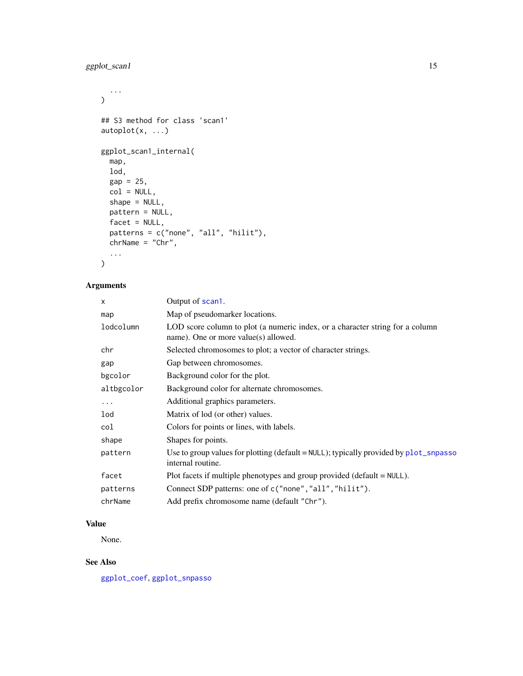### <span id="page-14-0"></span>ggplot\_scan1 15

```
...
\mathcal{L}## S3 method for class 'scan1'
autoplot(x, ...)
ggplot_scan1_internal(
 map,
 lod,
 gap = 25,col = NULL,shape = NULL,
 pattern = NULL,
 facet = NULL,patterns = c("none", "all", "hilit"),
 chrName = "Chr",
  ...
\mathcal{L}
```
### Arguments

| x          | Output of scan1.                                                                                                         |
|------------|--------------------------------------------------------------------------------------------------------------------------|
| map        | Map of pseudomarker locations.                                                                                           |
| lodcolumn  | LOD score column to plot (a numeric index, or a character string for a column<br>name). One or more value $(s)$ allowed. |
| chr        | Selected chromosomes to plot; a vector of character strings.                                                             |
| gap        | Gap between chromosomes.                                                                                                 |
| bgcolor    | Background color for the plot.                                                                                           |
| altbgcolor | Background color for alternate chromosomes.                                                                              |
| $\cdots$   | Additional graphics parameters.                                                                                          |
| lod        | Matrix of lod (or other) values.                                                                                         |
| col        | Colors for points or lines, with labels.                                                                                 |
| shape      | Shapes for points.                                                                                                       |
| pattern    | Use to group values for plotting (default = $NULL$ ); typically provided by $plot\_spass$<br>internal routine.           |
| facet      | Plot facets if multiple phenotypes and group provided (default $=$ NULL).                                                |
| patterns   | Connect SDP patterns: one of c("none", "all", "hilit").                                                                  |
| chrName    | Add prefix chromosome name (default "Chr").                                                                              |
|            |                                                                                                                          |

### Value

None.

### See Also

[ggplot\\_coef](#page-3-1), [ggplot\\_snpasso](#page-15-1)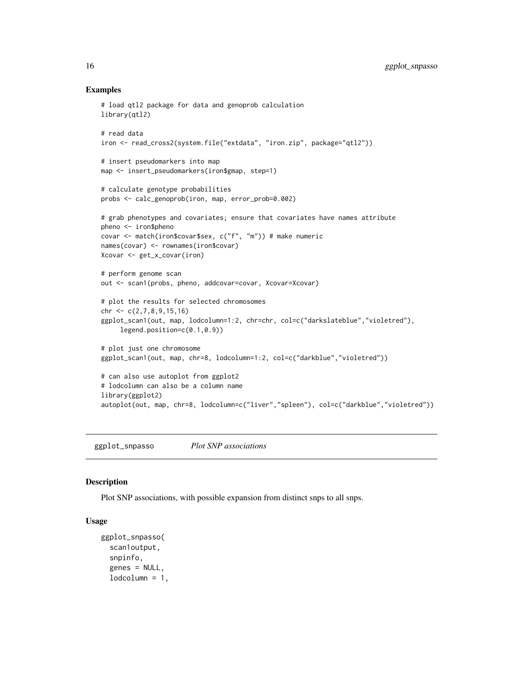#### Examples

```
# load qtl2 package for data and genoprob calculation
library(qtl2)
# read data
iron <- read_cross2(system.file("extdata", "iron.zip", package="qtl2"))
# insert pseudomarkers into map
map <- insert_pseudomarkers(iron$gmap, step=1)
# calculate genotype probabilities
probs <- calc_genoprob(iron, map, error_prob=0.002)
# grab phenotypes and covariates; ensure that covariates have names attribute
pheno <- iron$pheno
covar <- match(iron$covar$sex, c("f", "m")) # make numeric
names(covar) <- rownames(iron$covar)
Xcovar <- get_x_covar(iron)
# perform genome scan
out <- scan1(probs, pheno, addcovar=covar, Xcovar=Xcovar)
# plot the results for selected chromosomes
chr <- c(2,7,8,9,15,16)
ggplot_scan1(out, map, lodcolumn=1:2, chr=chr, col=c("darkslateblue","violetred"),
     legend.position=c(0.1,0.9))
# plot just one chromosome
ggplot_scan1(out, map, chr=8, lodcolumn=1:2, col=c("darkblue","violetred"))
# can also use autoplot from ggplot2
# lodcolumn can also be a column name
library(ggplot2)
autoplot(out, map, chr=8, lodcolumn=c("liver","spleen"), col=c("darkblue","violetred"))
```
<span id="page-15-1"></span>ggplot\_snpasso *Plot SNP associations*

#### **Description**

Plot SNP associations, with possible expansion from distinct snps to all snps.

```
ggplot_snpasso(
  scan1output,
  snpinfo,
  genes = NULL,
  1odcolumn = 1,
```
<span id="page-15-0"></span>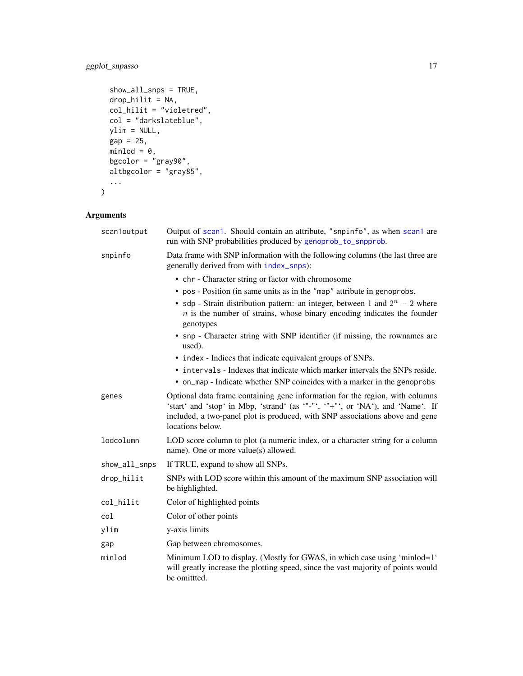### <span id="page-16-0"></span>ggplot\_snpasso 17

```
show_all_snps = TRUE,
 drop_hilit = NA,
 col\_hilit = "violetred",col = "darkslateblue",
 ylim = NULL,
 gap = 25,minlod = 0,
  bgcolor = "gray90",
  altbgcolor = "gray85",
  ...
)
```
### Arguments

| scan1output   | Output of scan1. Should contain an attribute, "snpinfo", as when scan1 are<br>run with SNP probabilities produced by genoprob_to_snpprob.                                                                                                                          |
|---------------|--------------------------------------------------------------------------------------------------------------------------------------------------------------------------------------------------------------------------------------------------------------------|
| snpinfo       | Data frame with SNP information with the following columns (the last three are<br>generally derived from with index_snps):                                                                                                                                         |
|               | • chr - Character string or factor with chromosome                                                                                                                                                                                                                 |
|               | • pos - Position (in same units as in the "map" attribute in genoprobs.                                                                                                                                                                                            |
|               | • sdp - Strain distribution pattern: an integer, between 1 and $2^n - 2$ where<br>$n$ is the number of strains, whose binary encoding indicates the founder<br>genotypes                                                                                           |
|               | • snp - Character string with SNP identifier (if missing, the rownames are<br>used).                                                                                                                                                                               |
|               | • index - Indices that indicate equivalent groups of SNPs.                                                                                                                                                                                                         |
|               | • intervals - Indexes that indicate which marker intervals the SNPs reside.                                                                                                                                                                                        |
|               | • on_map - Indicate whether SNP coincides with a marker in the genoprobs                                                                                                                                                                                           |
| genes         | Optional data frame containing gene information for the region, with columns<br>'start' and 'stop' in Mbp, 'strand' (as '"-"', '"+"', or 'NA'), and 'Name'. If<br>included, a two-panel plot is produced, with SNP associations above and gene<br>locations below. |
| lodcolumn     | LOD score column to plot (a numeric index, or a character string for a column<br>name). One or more value(s) allowed.                                                                                                                                              |
| show_all_snps | If TRUE, expand to show all SNPs.                                                                                                                                                                                                                                  |
| drop_hilit    | SNPs with LOD score within this amount of the maximum SNP association will<br>be highlighted.                                                                                                                                                                      |
| col_hilit     | Color of highlighted points                                                                                                                                                                                                                                        |
| col           | Color of other points                                                                                                                                                                                                                                              |
| ylim          | y-axis limits                                                                                                                                                                                                                                                      |
| gap           | Gap between chromosomes.                                                                                                                                                                                                                                           |
| minlod        | Minimum LOD to display. (Mostly for GWAS, in which case using 'minlod=1'<br>will greatly increase the plotting speed, since the vast majority of points would<br>be omittted.                                                                                      |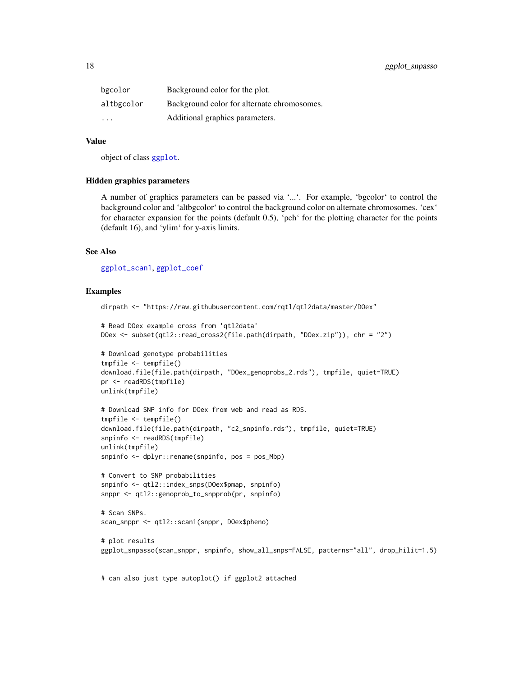<span id="page-17-0"></span>

| bgcolor                 | Background color for the plot.              |
|-------------------------|---------------------------------------------|
| altbgcolor              | Background color for alternate chromosomes. |
| $\cdot$ $\cdot$ $\cdot$ | Additional graphics parameters.             |

#### Value

object of class [ggplot](#page-0-0).

#### Hidden graphics parameters

A number of graphics parameters can be passed via '...'. For example, 'bgcolor' to control the background color and 'altbgcolor' to control the background color on alternate chromosomes. 'cex' for character expansion for the points (default 0.5), 'pch' for the plotting character for the points (default 16), and 'ylim' for y-axis limits.

#### See Also

[ggplot\\_scan1](#page-13-1), [ggplot\\_coef](#page-3-1)

#### Examples

```
dirpath <- "https://raw.githubusercontent.com/rqtl/qtl2data/master/DOex"
```

```
# Read DOex example cross from 'qtl2data'
DOex <- subset(qtl2::read_cross2(file.path(dirpath, "DOex.zip")), chr = "2")
```

```
# Download genotype probabilities
tmpfile <- tempfile()
download.file(file.path(dirpath, "DOex_genoprobs_2.rds"), tmpfile, quiet=TRUE)
pr <- readRDS(tmpfile)
unlink(tmpfile)
```

```
# Download SNP info for DOex from web and read as RDS.
tmpfile <- tempfile()
download.file(file.path(dirpath, "c2_snpinfo.rds"), tmpfile, quiet=TRUE)
snpinfo <- readRDS(tmpfile)
unlink(tmpfile)
snpinfo <- dplyr::rename(snpinfo, pos = pos_Mbp)
```

```
# Convert to SNP probabilities
snpinfo <- qtl2::index_snps(DOex$pmap, snpinfo)
snppr <- qtl2::genoprob_to_snpprob(pr, snpinfo)
```

```
# Scan SNPs.
scan_snppr <- qtl2::scan1(snppr, DOex$pheno)
```

```
# plot results
ggplot_snpasso(scan_snppr, snpinfo, show_all_snps=FALSE, patterns="all", drop_hilit=1.5)
```
# can also just type autoplot() if ggplot2 attached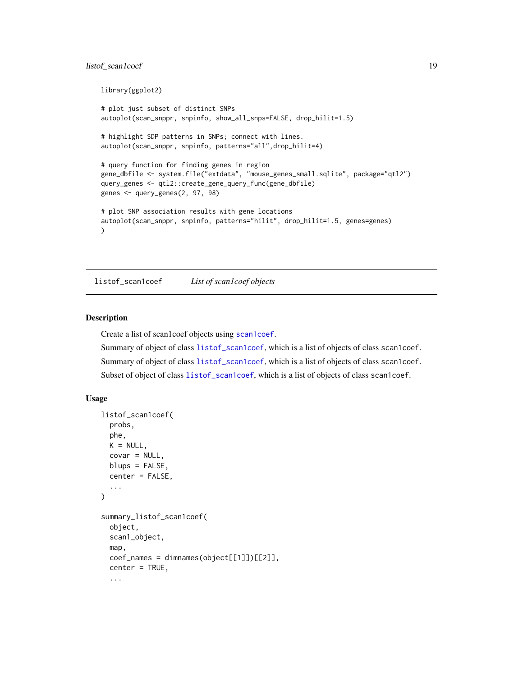### <span id="page-18-0"></span>listof\_scan1coef 19

```
library(ggplot2)
# plot just subset of distinct SNPs
autoplot(scan_snppr, snpinfo, show_all_snps=FALSE, drop_hilit=1.5)
# highlight SDP patterns in SNPs; connect with lines.
autoplot(scan_snppr, snpinfo, patterns="all",drop_hilit=4)
# query function for finding genes in region
gene_dbfile <- system.file("extdata", "mouse_genes_small.sqlite", package="qtl2")
query_genes <- qtl2::create_gene_query_func(gene_dbfile)
genes <- query_genes(2, 97, 98)
# plot SNP association results with gene locations
autoplot(scan_snppr, snpinfo, patterns="hilit", drop_hilit=1.5, genes=genes)
)
```
<span id="page-18-1"></span>listof\_scan1coef *List of scan1coef objects*

#### Description

Create a list of scan1coef objects using [scan1coef](#page-0-0).

Summary of object of class [listof\\_scan1coef](#page-18-1), which is a list of objects of class scan1coef. Summary of object of class [listof\\_scan1coef](#page-18-1), which is a list of objects of class scan1coef. Subset of object of class [listof\\_scan1coef](#page-18-1), which is a list of objects of class scan1coef.

```
listof_scan1coef(
  probs,
 phe,
 K = NULL,covar = NULL,
 blups = FALSE,
  center = FALSE,
  ...
)
summary_listof_scan1coef(
  object,
  scan1_object,
  map,
  coef\_names = dimnames(object[[1]])[[2]],
  center = TRUE,
  ...
```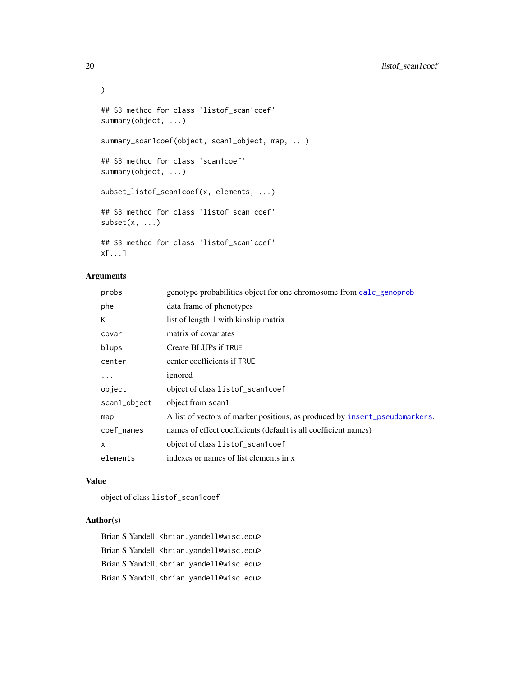```
)
## S3 method for class 'listof_scan1coef'
summary(object, ...)
summary_scan1coef(object, scan1_object, map, ...)
## S3 method for class 'scan1coef'
summary(object, ...)
subset_listof_scan1coef(x, elements, ...)
## S3 method for class 'listof_scan1coef'
subset(x, \ldots)## S3 method for class 'listof_scan1coef'
x[...]
```
### Arguments

| probs        | genotype probabilities object for one chromosome from calc_genoprob         |
|--------------|-----------------------------------------------------------------------------|
| phe          | data frame of phenotypes                                                    |
| К            | list of length 1 with kinship matrix                                        |
| covar        | matrix of covariates                                                        |
| blups        | Create BLUPs if TRUE                                                        |
| center       | center coefficients if TRUE                                                 |
| .            | ignored                                                                     |
| object       | object of class listof_scan1coef                                            |
| scan1_object | object from scan1                                                           |
| map          | A list of vectors of marker positions, as produced by insert_pseudomarkers. |
| coef_names   | names of effect coefficients (default is all coefficient names)             |
| X            | object of class listof_scan1coef                                            |
| elements     | indexes or names of list elements in x                                      |

#### Value

object of class listof\_scan1coef

### Author(s)

Brian S Yandell, <br />brian.yandell@wisc.edu> Brian S Yandell, <br />brian.yandell@wisc.edu> Brian S Yandell, <br ian.yandell@wisc.edu> Brian S Yandell, <br />brian.yandell@wisc.edu>

<span id="page-19-0"></span>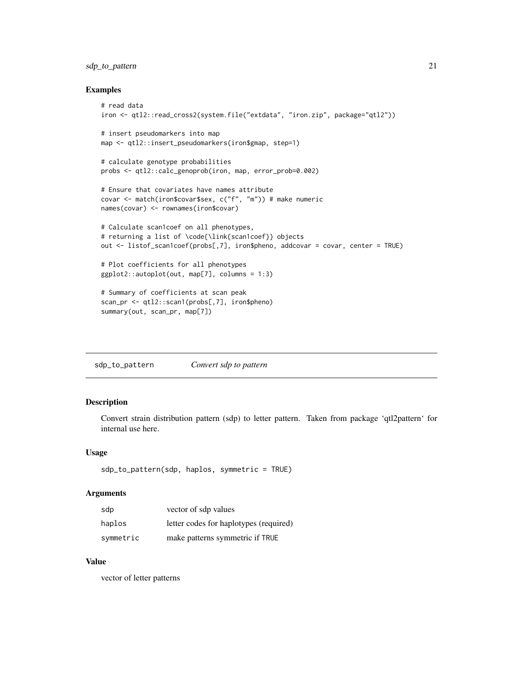### <span id="page-20-0"></span>sdp\_to\_pattern 21

#### Examples

```
# read data
iron <- qtl2::read_cross2(system.file("extdata", "iron.zip", package="qtl2"))
# insert pseudomarkers into map
map <- qtl2::insert_pseudomarkers(iron$gmap, step=1)
# calculate genotype probabilities
probs <- qtl2::calc_genoprob(iron, map, error_prob=0.002)
# Ensure that covariates have names attribute
covar <- match(iron$covar$sex, c("f", "m")) # make numeric
names(covar) <- rownames(iron$covar)
# Calculate scan1coef on all phenotypes,
# returning a list of \code{\link{scan1coef}} objects
out <- listof_scan1coef(probs[,7], iron$pheno, addcovar = covar, center = TRUE)
# Plot coefficients for all phenotypes
ggplot2::autoplot(out, map[7], columns = 1:3)
# Summary of coefficients at scan peak
scan_pr <- qtl2::scan1(probs[,7], iron$pheno)
```

```
summary(out, scan_pr, map[7])
```
sdp\_to\_pattern *Convert sdp to pattern*

### Description

Convert strain distribution pattern (sdp) to letter pattern. Taken from package 'qtl2pattern' for internal use here.

#### Usage

```
sdp_to_pattern(sdp, haplos, symmetric = TRUE)
```
#### Arguments

| sdp       | vector of sdp values                   |
|-----------|----------------------------------------|
| haplos    | letter codes for haplotypes (required) |
| symmetric | make patterns symmetric if TRUE        |

#### Value

vector of letter patterns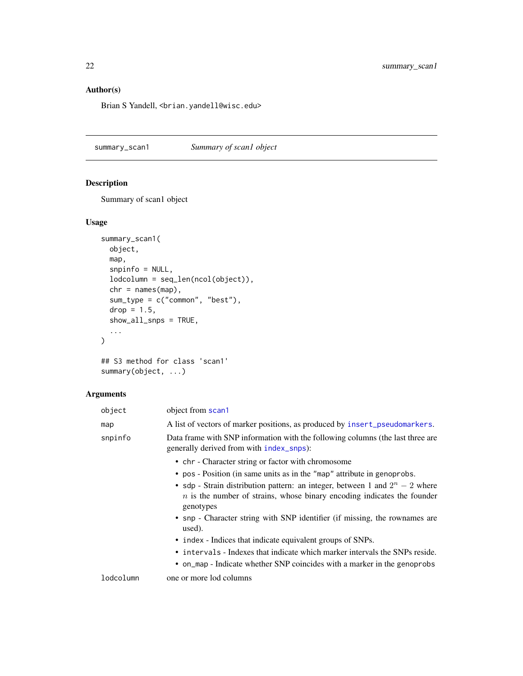### <span id="page-21-0"></span>Author(s)

Brian S Yandell, <br />brian.yandell@wisc.edu>

summary\_scan1 *Summary of scan1 object*

### Description

Summary of scan1 object

### Usage

```
summary_scan1(
 object,
 map,
  snpinfo = NULL,
 lodcolumn = seq_len(ncol(object)),
 chr = names(map),
 sum_type = c("common", "best"),
 drop = 1.5,
  show_all_snps = TRUE,
  ...
\mathcal{L}## S3 method for class 'scan1'
```
summary(object, ...)

### Arguments

| object    | object from scan1                                                                                                                                                        |
|-----------|--------------------------------------------------------------------------------------------------------------------------------------------------------------------------|
| map       | A list of vectors of marker positions, as produced by insert_pseudomarkers.                                                                                              |
| snpinfo   | Data frame with SNP information with the following columns (the last three are<br>generally derived from with index_snps):                                               |
|           | • chr - Character string or factor with chromosome                                                                                                                       |
|           | • pos - Position (in same units as in the "map" attribute in genoprobs.                                                                                                  |
|           | • sdp - Strain distribution pattern: an integer, between 1 and $2^n - 2$ where<br>$n$ is the number of strains, whose binary encoding indicates the founder<br>genotypes |
|           | • snp - Character string with SNP identifier (if missing, the rownames are<br>used).                                                                                     |
|           | • index - Indices that indicate equivalent groups of SNPs.                                                                                                               |
|           | • intervals - Indexes that indicate which marker intervals the SNPs reside.                                                                                              |
|           | • on map - Indicate whether SNP coincides with a marker in the genoprobs                                                                                                 |
| lodcolumn | one or more lod columns                                                                                                                                                  |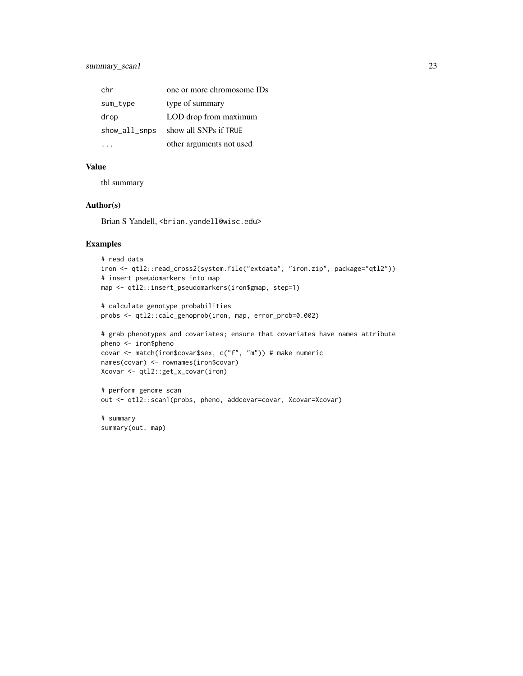| chr           | one or more chromosome IDs |
|---------------|----------------------------|
| sum_type      | type of summary            |
| drop          | LOD drop from maximum      |
| show_all_snps | show all SNPs if TRUE      |
|               | other arguments not used   |

#### Value

tbl summary

### Author(s)

Brian S Yandell, <br />brian.yandell@wisc.edu>

### Examples

```
# read data
iron <- qtl2::read_cross2(system.file("extdata", "iron.zip", package="qtl2"))
# insert pseudomarkers into map
map <- qtl2::insert_pseudomarkers(iron$gmap, step=1)
```

```
# calculate genotype probabilities
probs <- qtl2::calc_genoprob(iron, map, error_prob=0.002)
```

```
# grab phenotypes and covariates; ensure that covariates have names attribute
pheno <- iron$pheno
covar <- match(iron$covar$sex, c("f", "m")) # make numeric
names(covar) <- rownames(iron$covar)
Xcovar <- qtl2::get_x_covar(iron)
```
# perform genome scan out <- qtl2::scan1(probs, pheno, addcovar=covar, Xcovar=Xcovar)

# summary summary(out, map)